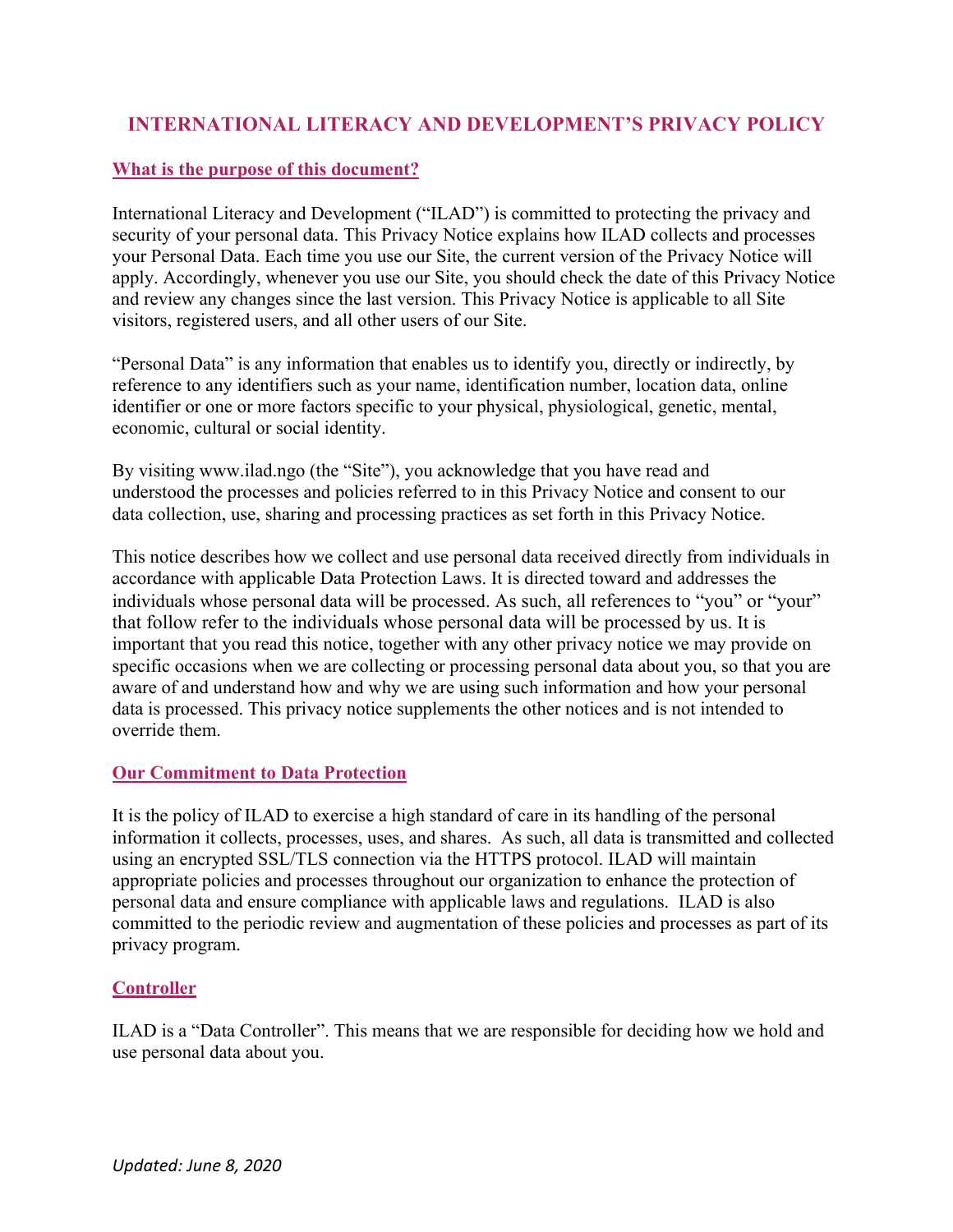# **INTERNATIONAL LITERACY AND DEVELOPMENT'S PRIVACY POLICY**

#### **What is the purpose of this document?**

International Literacy and Development ("ILAD") is committed to protecting the privacy and security of your personal data. This Privacy Notice explains how ILAD collects and processes your Personal Data. Each time you use our Site, the current version of the Privacy Notice will apply. Accordingly, whenever you use our Site, you should check the date of this Privacy Notice and review any changes since the last version. This Privacy Notice is applicable to all Site visitors, registered users, and all other users of our Site.

"Personal Data" is any information that enables us to identify you, directly or indirectly, by reference to any identifiers such as your name, identification number, location data, online identifier or one or more factors specific to your physical, physiological, genetic, mental, economic, cultural or social identity.

By visiting www.ilad.ngo (the "Site"), you acknowledge that you have read and understood the processes and policies referred to in this Privacy Notice and consent to our data collection, use, sharing and processing practices as set forth in this Privacy Notice.

This notice describes how we collect and use personal data received directly from individuals in accordance with applicable Data Protection Laws. It is directed toward and addresses the individuals whose personal data will be processed. As such, all references to "you" or "your" that follow refer to the individuals whose personal data will be processed by us. It is important that you read this notice, together with any other privacy notice we may provide on specific occasions when we are collecting or processing personal data about you, so that you are aware of and understand how and why we are using such information and how your personal data is processed. This privacy notice supplements the other notices and is not intended to override them.

#### **Our Commitment to Data Protection**

It is the policy of ILAD to exercise a high standard of care in its handling of the personal information it collects, processes, uses, and shares. As such, all data is transmitted and collected using an encrypted SSL/TLS connection via the HTTPS protocol. ILAD will maintain appropriate policies and processes throughout our organization to enhance the protection of personal data and ensure compliance with applicable laws and regulations. ILAD is also committed to the periodic review and augmentation of these policies and processes as part of its privacy program.

### **Controller**

ILAD is a "Data Controller". This means that we are responsible for deciding how we hold and use personal data about you.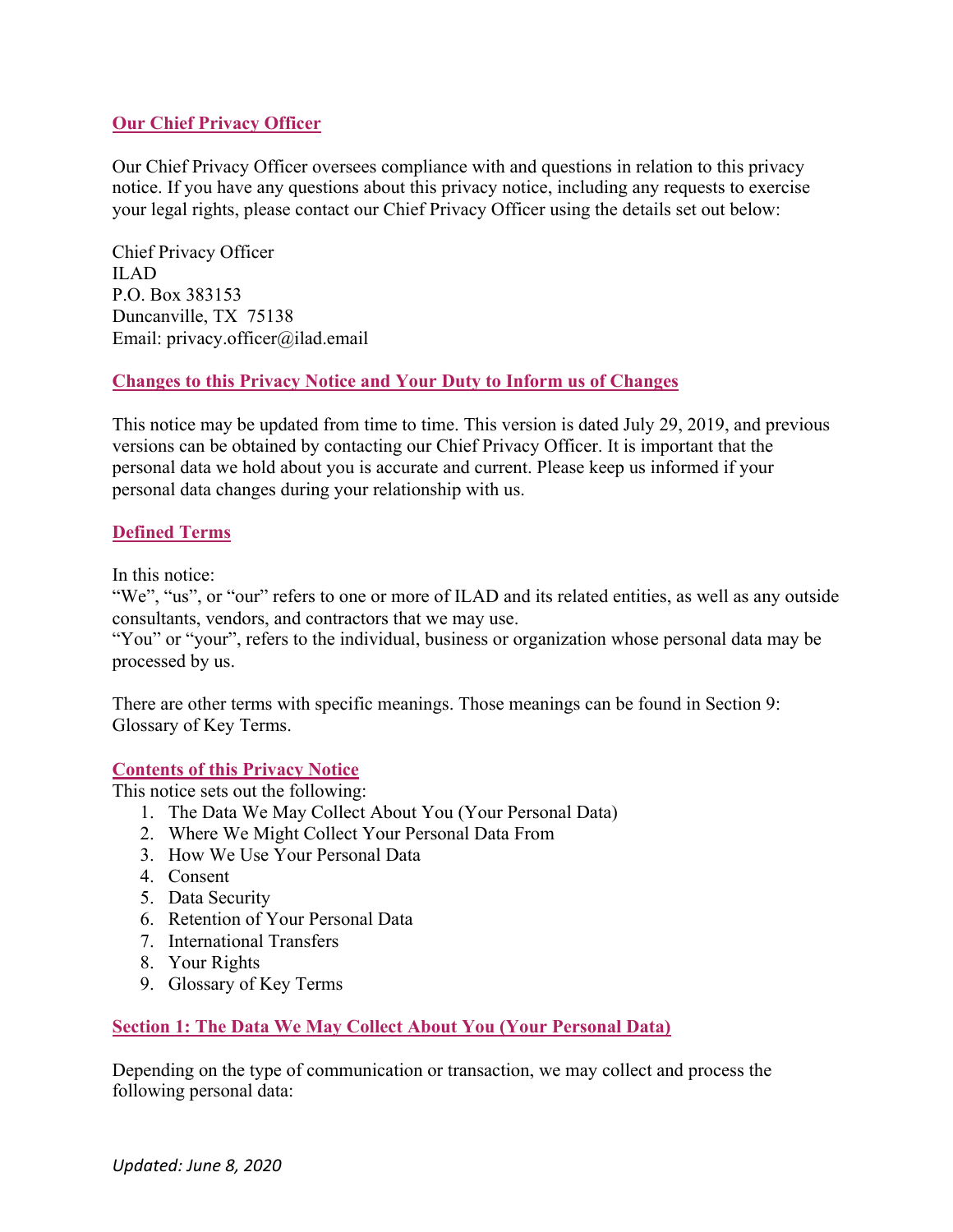### **Our Chief Privacy Officer**

Our Chief Privacy Officer oversees compliance with and questions in relation to this privacy notice. If you have any questions about this privacy notice, including any requests to exercise your legal rights, please contact our Chief Privacy Officer using the details set out below:

Chief Privacy Officer ILAD P.O. Box 383153 Duncanville, TX 75138 Email: privacy.officer@ilad.email

### **Changes to this Privacy Notice and Your Duty to Inform us of Changes**

This notice may be updated from time to time. This version is dated July 29, 2019, and previous versions can be obtained by contacting our Chief Privacy Officer. It is important that the personal data we hold about you is accurate and current. Please keep us informed if your personal data changes during your relationship with us.

# **Defined Terms**

In this notice:

"We", "us", or "our" refers to one or more of ILAD and its related entities, as well as any outside consultants, vendors, and contractors that we may use.

"You" or "your", refers to the individual, business or organization whose personal data may be processed by us.

There are other terms with specific meanings. Those meanings can be found in Section 9: Glossary of Key Terms.

### **Contents of this Privacy Notice**

This notice sets out the following:

- 1. The Data We May Collect About You (Your Personal Data)
- 2. Where We Might Collect Your Personal Data From
- 3. How We Use Your Personal Data
- 4. Consent
- 5. Data Security
- 6. Retention of Your Personal Data
- 7. International Transfers
- 8. Your Rights
- 9. Glossary of Key Terms

### **Section 1: The Data We May Collect About You (Your Personal Data)**

Depending on the type of communication or transaction, we may collect and process the following personal data: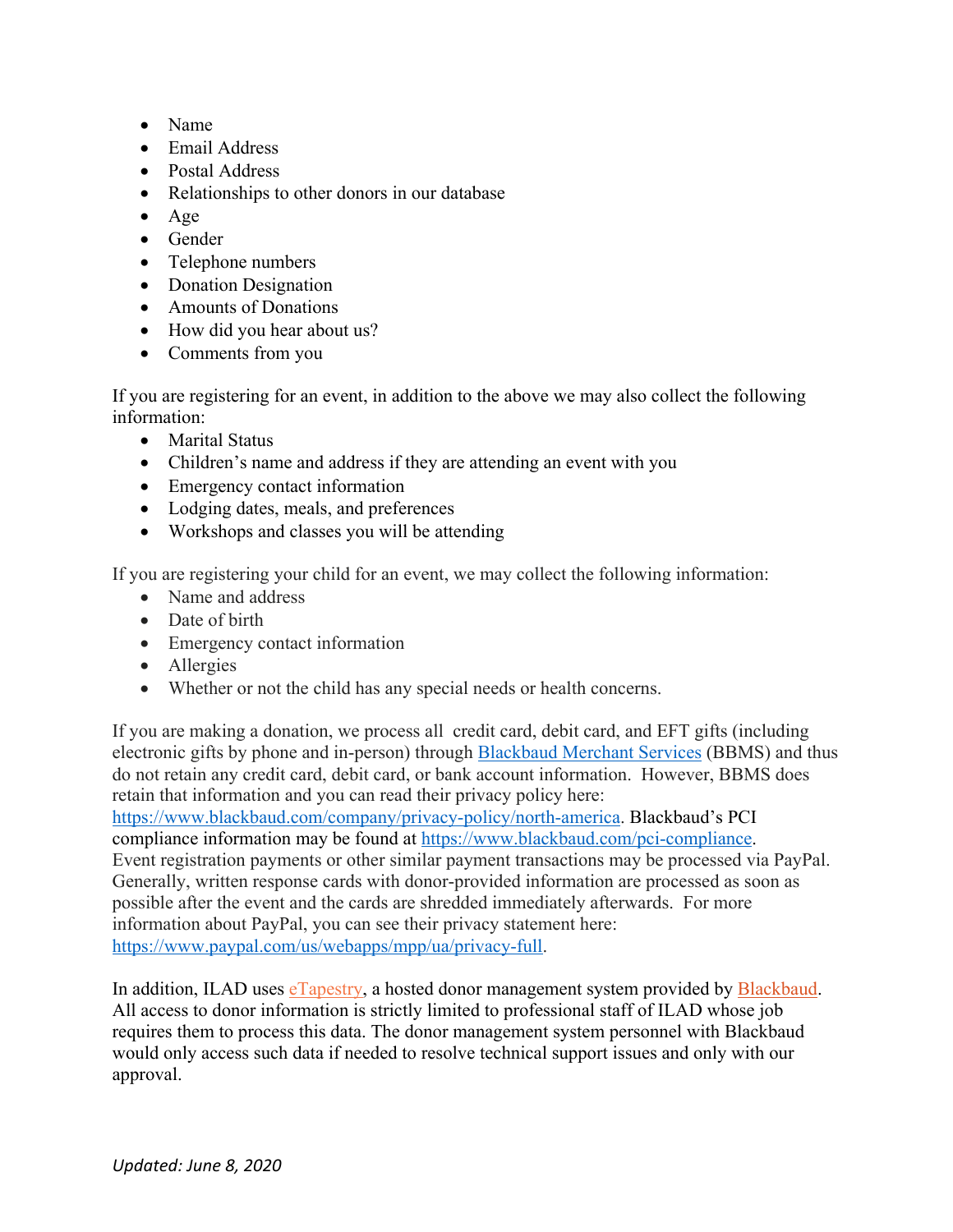- Name
- Email Address
- Postal Address
- Relationships to other donors in our database
- Age
- Gender
- Telephone numbers
- Donation Designation
- Amounts of Donations
- How did you hear about us?
- Comments from you

If you are registering for an event, in addition to the above we may also collect the following information:

- Marital Status
- Children's name and address if they are attending an event with you
- Emergency contact information
- Lodging dates, meals, and preferences
- Workshops and classes you will be attending

If you are registering your child for an event, we may collect the following information:

- Name and address
- Date of birth
- Emergency contact information
- Allergies
- Whether or not the child has any special needs or health concerns.

If you are making a donation, we process all credit card, debit card, and EFT gifts (including electronic gifts by phone and in-person) through Blackbaud Merchant Services (BBMS) and thus do not retain any credit card, debit card, or bank account information. However, BBMS does retain that information and you can read their privacy policy here:

https://www.blackbaud.com/company/privacy-policy/north-america. Blackbaud's PCI compliance information may be found at https://www.blackbaud.com/pci-compliance. Event registration payments or other similar payment transactions may be processed via PayPal. Generally, written response cards with donor-provided information are processed as soon as possible after the event and the cards are shredded immediately afterwards. For more information about PayPal, you can see their privacy statement here: https://www.paypal.com/us/webapps/mpp/ua/privacy-full.

In addition, ILAD uses eTapestry, a hosted donor management system provided by Blackbaud. All access to donor information is strictly limited to professional staff of ILAD whose job requires them to process this data. The donor management system personnel with Blackbaud would only access such data if needed to resolve technical support issues and only with our approval.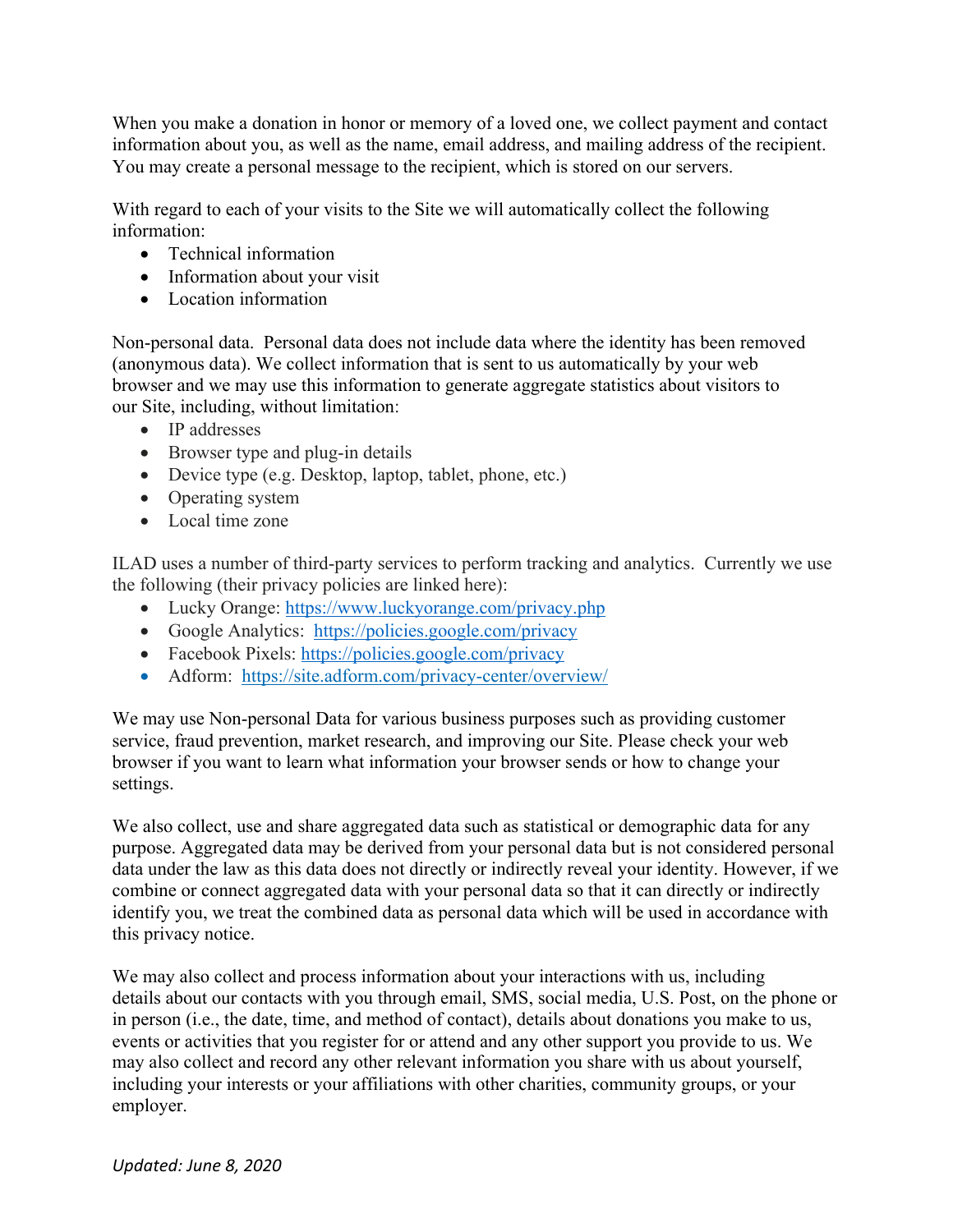When you make a donation in honor or memory of a loved one, we collect payment and contact information about you, as well as the name, email address, and mailing address of the recipient. You may create a personal message to the recipient, which is stored on our servers.

With regard to each of your visits to the Site we will automatically collect the following information:

- Technical information
- Information about your visit
- Location information

Non-personal data. Personal data does not include data where the identity has been removed (anonymous data). We collect information that is sent to us automatically by your web browser and we may use this information to generate aggregate statistics about visitors to our Site, including, without limitation:

- IP addresses
- Browser type and plug-in details
- Device type (e.g. Desktop, laptop, tablet, phone, etc.)
- Operating system
- Local time zone

ILAD uses a number of third-party services to perform tracking and analytics. Currently we use the following (their privacy policies are linked here):

- Lucky Orange: https://www.luckyorange.com/privacy.php
- Google Analytics: https://policies.google.com/privacy
- Facebook Pixels: https://policies.google.com/privacy
- Adform: https://site.adform.com/privacy-center/overview/

We may use Non-personal Data for various business purposes such as providing customer service, fraud prevention, market research, and improving our Site. Please check your web browser if you want to learn what information your browser sends or how to change your settings.

We also collect, use and share aggregated data such as statistical or demographic data for any purpose. Aggregated data may be derived from your personal data but is not considered personal data under the law as this data does not directly or indirectly reveal your identity. However, if we combine or connect aggregated data with your personal data so that it can directly or indirectly identify you, we treat the combined data as personal data which will be used in accordance with this privacy notice.

We may also collect and process information about your interactions with us, including details about our contacts with you through email, SMS, social media, U.S. Post, on the phone or in person (i.e., the date, time, and method of contact), details about donations you make to us, events or activities that you register for or attend and any other support you provide to us. We may also collect and record any other relevant information you share with us about yourself, including your interests or your affiliations with other charities, community groups, or your employer.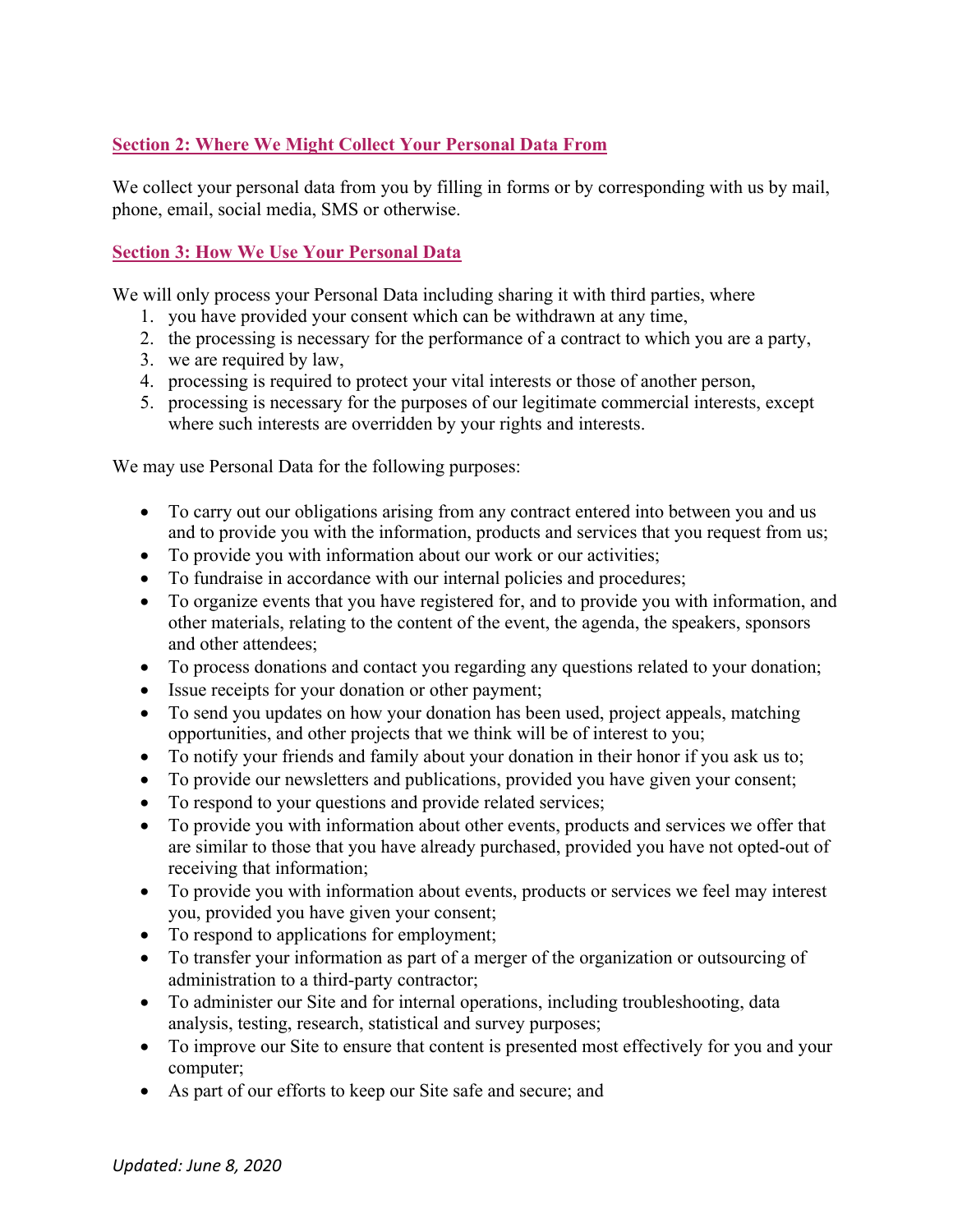# **Section 2: Where We Might Collect Your Personal Data From**

We collect your personal data from you by filling in forms or by corresponding with us by mail, phone, email, social media, SMS or otherwise.

# **Section 3: How We Use Your Personal Data**

We will only process your Personal Data including sharing it with third parties, where

- 1. you have provided your consent which can be withdrawn at any time,
- 2. the processing is necessary for the performance of a contract to which you are a party,
- 3. we are required by law,
- 4. processing is required to protect your vital interests or those of another person,
- 5. processing is necessary for the purposes of our legitimate commercial interests, except where such interests are overridden by your rights and interests.

We may use Personal Data for the following purposes:

- To carry out our obligations arising from any contract entered into between you and us and to provide you with the information, products and services that you request from us;
- To provide you with information about our work or our activities;
- To fundraise in accordance with our internal policies and procedures;
- To organize events that you have registered for, and to provide you with information, and other materials, relating to the content of the event, the agenda, the speakers, sponsors and other attendees;
- To process donations and contact you regarding any questions related to your donation;
- Issue receipts for your donation or other payment;
- To send you updates on how your donation has been used, project appeals, matching opportunities, and other projects that we think will be of interest to you;
- To notify your friends and family about your donation in their honor if you ask us to;
- To provide our newsletters and publications, provided you have given your consent;
- To respond to your questions and provide related services;
- To provide you with information about other events, products and services we offer that are similar to those that you have already purchased, provided you have not opted-out of receiving that information;
- To provide you with information about events, products or services we feel may interest you, provided you have given your consent;
- To respond to applications for employment;
- To transfer your information as part of a merger of the organization or outsourcing of administration to a third-party contractor;
- To administer our Site and for internal operations, including troubleshooting, data analysis, testing, research, statistical and survey purposes;
- To improve our Site to ensure that content is presented most effectively for you and your computer;
- As part of our efforts to keep our Site safe and secure; and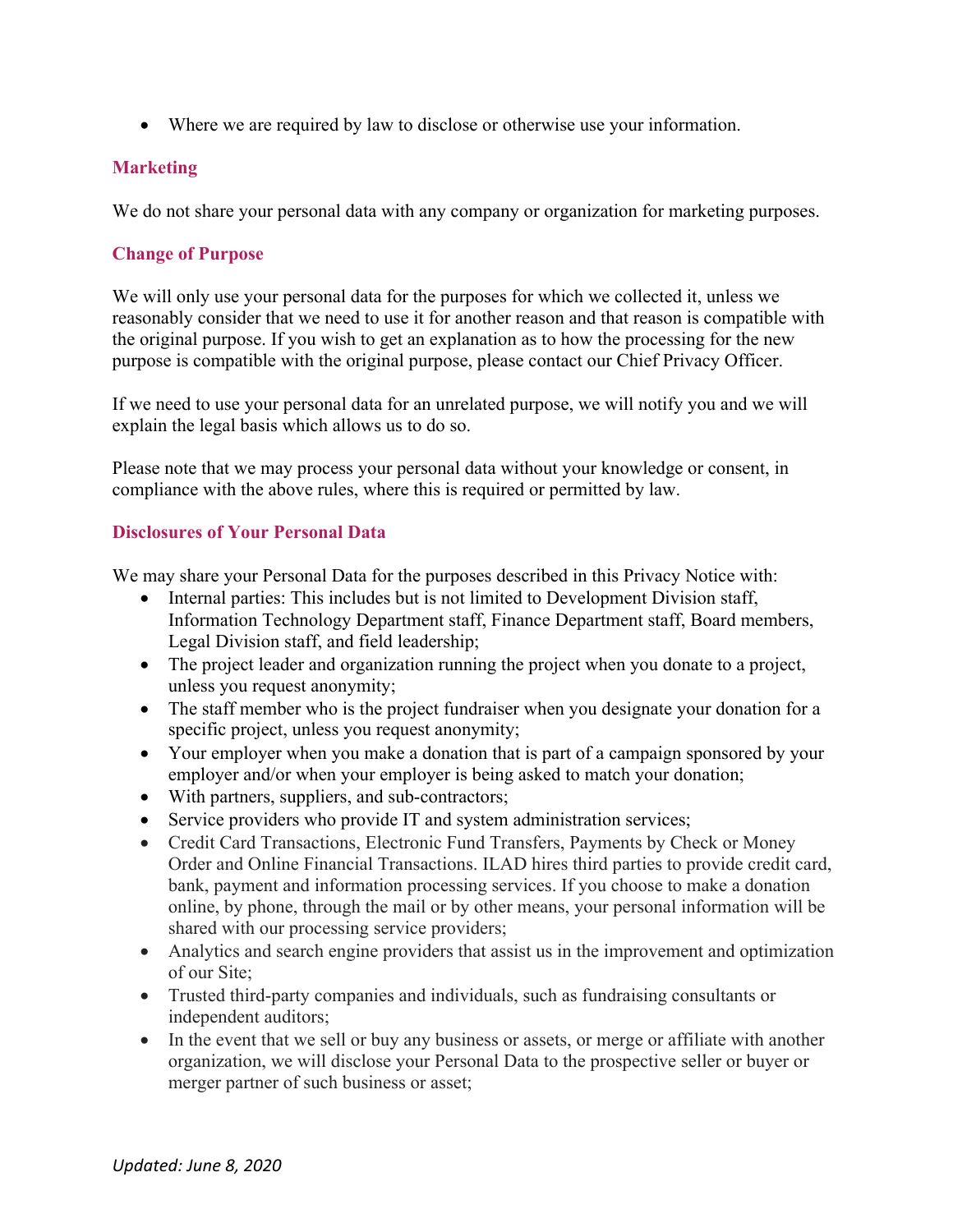• Where we are required by law to disclose or otherwise use your information.

# **Marketing**

We do not share your personal data with any company or organization for marketing purposes.

# **Change of Purpose**

We will only use your personal data for the purposes for which we collected it, unless we reasonably consider that we need to use it for another reason and that reason is compatible with the original purpose. If you wish to get an explanation as to how the processing for the new purpose is compatible with the original purpose, please contact our Chief Privacy Officer.

If we need to use your personal data for an unrelated purpose, we will notify you and we will explain the legal basis which allows us to do so.

Please note that we may process your personal data without your knowledge or consent, in compliance with the above rules, where this is required or permitted by law.

### **Disclosures of Your Personal Data**

We may share your Personal Data for the purposes described in this Privacy Notice with:

- Internal parties: This includes but is not limited to Development Division staff, Information Technology Department staff, Finance Department staff, Board members, Legal Division staff, and field leadership;
- The project leader and organization running the project when you donate to a project, unless you request anonymity;
- The staff member who is the project fundraiser when you designate your donation for a specific project, unless you request anonymity;
- Your employer when you make a donation that is part of a campaign sponsored by your employer and/or when your employer is being asked to match your donation;
- With partners, suppliers, and sub-contractors;
- Service providers who provide IT and system administration services;
- Credit Card Transactions, Electronic Fund Transfers, Payments by Check or Money Order and Online Financial Transactions. ILAD hires third parties to provide credit card, bank, payment and information processing services. If you choose to make a donation online, by phone, through the mail or by other means, your personal information will be shared with our processing service providers;
- Analytics and search engine providers that assist us in the improvement and optimization of our Site;
- Trusted third-party companies and individuals, such as fundraising consultants or independent auditors;
- In the event that we sell or buy any business or assets, or merge or affiliate with another organization, we will disclose your Personal Data to the prospective seller or buyer or merger partner of such business or asset;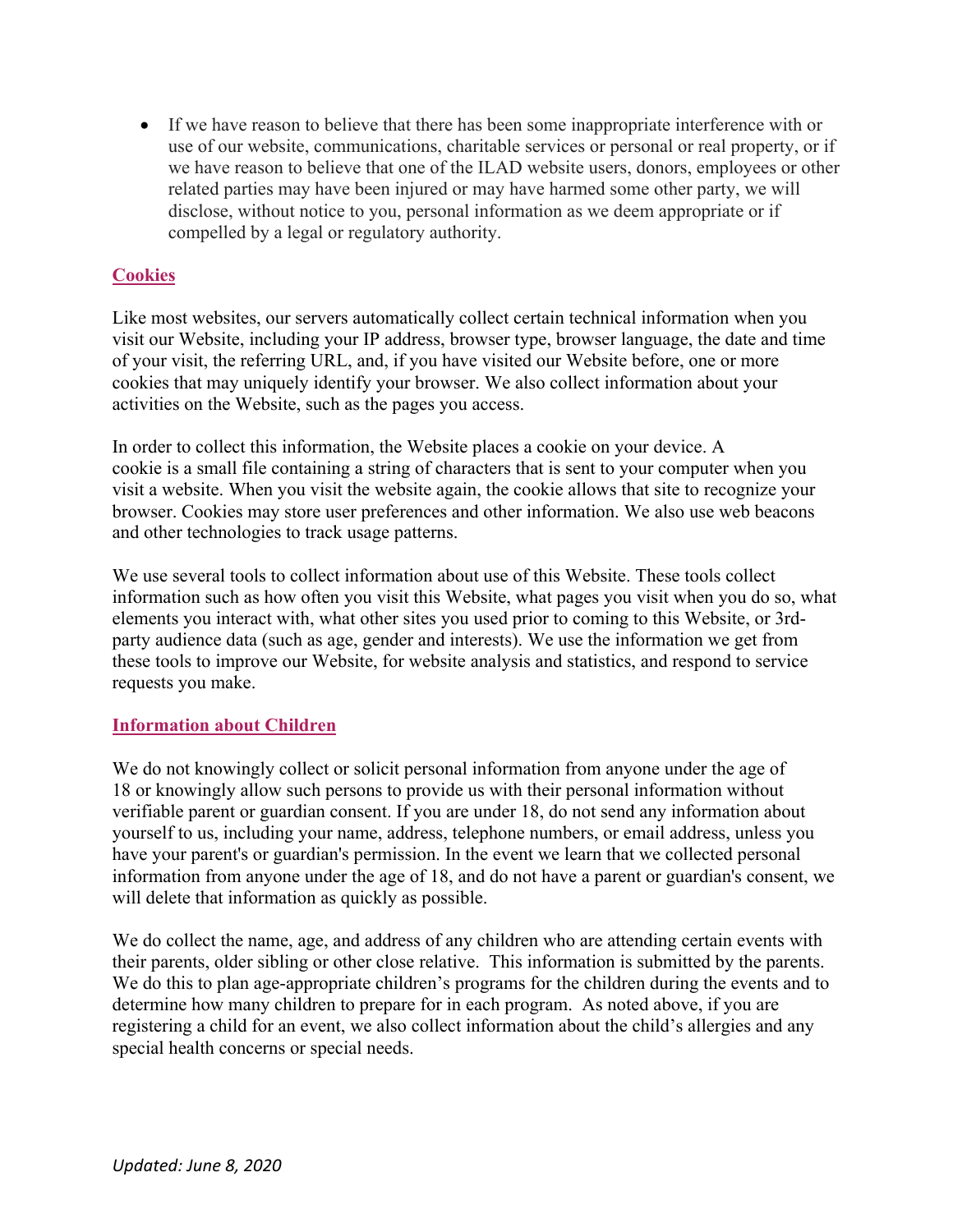• If we have reason to believe that there has been some inappropriate interference with or use of our website, communications, charitable services or personal or real property, or if we have reason to believe that one of the ILAD website users, donors, employees or other related parties may have been injured or may have harmed some other party, we will disclose, without notice to you, personal information as we deem appropriate or if compelled by a legal or regulatory authority.

### **Cookies**

Like most websites, our servers automatically collect certain technical information when you visit our Website, including your IP address, browser type, browser language, the date and time of your visit, the referring URL, and, if you have visited our Website before, one or more cookies that may uniquely identify your browser. We also collect information about your activities on the Website, such as the pages you access.

In order to collect this information, the Website places a cookie on your device. A cookie is a small file containing a string of characters that is sent to your computer when you visit a website. When you visit the website again, the cookie allows that site to recognize your browser. Cookies may store user preferences and other information. We also use web beacons and other technologies to track usage patterns.

We use several tools to collect information about use of this Website. These tools collect information such as how often you visit this Website, what pages you visit when you do so, what elements you interact with, what other sites you used prior to coming to this Website, or 3rdparty audience data (such as age, gender and interests). We use the information we get from these tools to improve our Website, for website analysis and statistics, and respond to service requests you make.

### **Information about Children**

We do not knowingly collect or solicit personal information from anyone under the age of 18 or knowingly allow such persons to provide us with their personal information without verifiable parent or guardian consent. If you are under 18, do not send any information about yourself to us, including your name, address, telephone numbers, or email address, unless you have your parent's or guardian's permission. In the event we learn that we collected personal information from anyone under the age of 18, and do not have a parent or guardian's consent, we will delete that information as quickly as possible.

We do collect the name, age, and address of any children who are attending certain events with their parents, older sibling or other close relative. This information is submitted by the parents. We do this to plan age-appropriate children's programs for the children during the events and to determine how many children to prepare for in each program. As noted above, if you are registering a child for an event, we also collect information about the child's allergies and any special health concerns or special needs.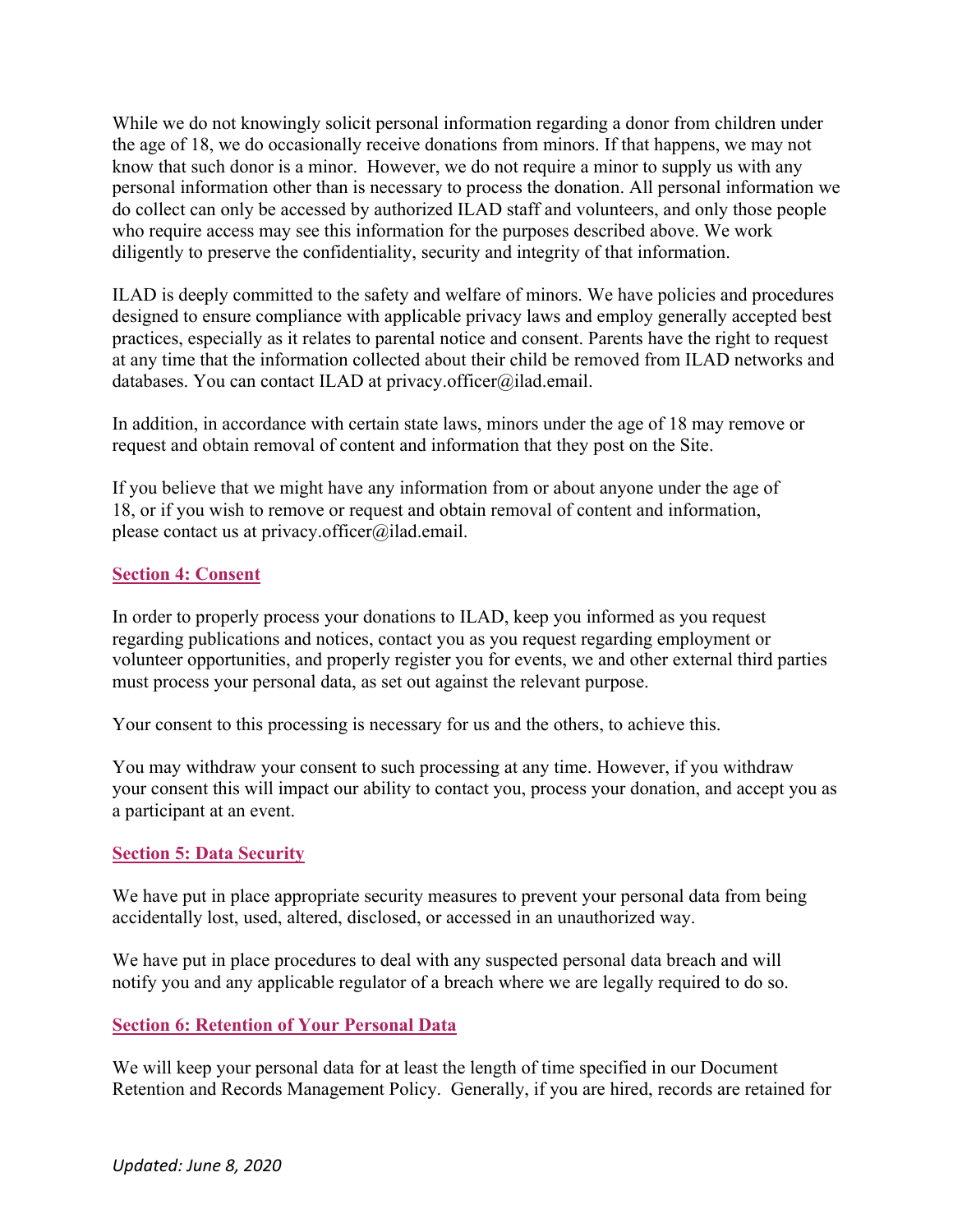While we do not knowingly solicit personal information regarding a donor from children under the age of 18, we do occasionally receive donations from minors. If that happens, we may not know that such donor is a minor. However, we do not require a minor to supply us with any personal information other than is necessary to process the donation. All personal information we do collect can only be accessed by authorized ILAD staff and volunteers, and only those people who require access may see this information for the purposes described above. We work diligently to preserve the confidentiality, security and integrity of that information.

ILAD is deeply committed to the safety and welfare of minors. We have policies and procedures designed to ensure compliance with applicable privacy laws and employ generally accepted best practices, especially as it relates to parental notice and consent. Parents have the right to request at any time that the information collected about their child be removed from ILAD networks and databases. You can contact ILAD at privacy.officer@ilad.email.

In addition, in accordance with certain state laws, minors under the age of 18 may remove or request and obtain removal of content and information that they post on the Site.

If you believe that we might have any information from or about anyone under the age of 18, or if you wish to remove or request and obtain removal of content and information, please contact us at privacy.officer@ilad.email.

#### **Section 4: Consent**

In order to properly process your donations to ILAD, keep you informed as you request regarding publications and notices, contact you as you request regarding employment or volunteer opportunities, and properly register you for events, we and other external third parties must process your personal data, as set out against the relevant purpose.

Your consent to this processing is necessary for us and the others, to achieve this.

You may withdraw your consent to such processing at any time. However, if you withdraw your consent this will impact our ability to contact you, process your donation, and accept you as a participant at an event.

#### **Section 5: Data Security**

We have put in place appropriate security measures to prevent your personal data from being accidentally lost, used, altered, disclosed, or accessed in an unauthorized way.

We have put in place procedures to deal with any suspected personal data breach and will notify you and any applicable regulator of a breach where we are legally required to do so.

### **Section 6: Retention of Your Personal Data**

We will keep your personal data for at least the length of time specified in our Document Retention and Records Management Policy. Generally, if you are hired, records are retained for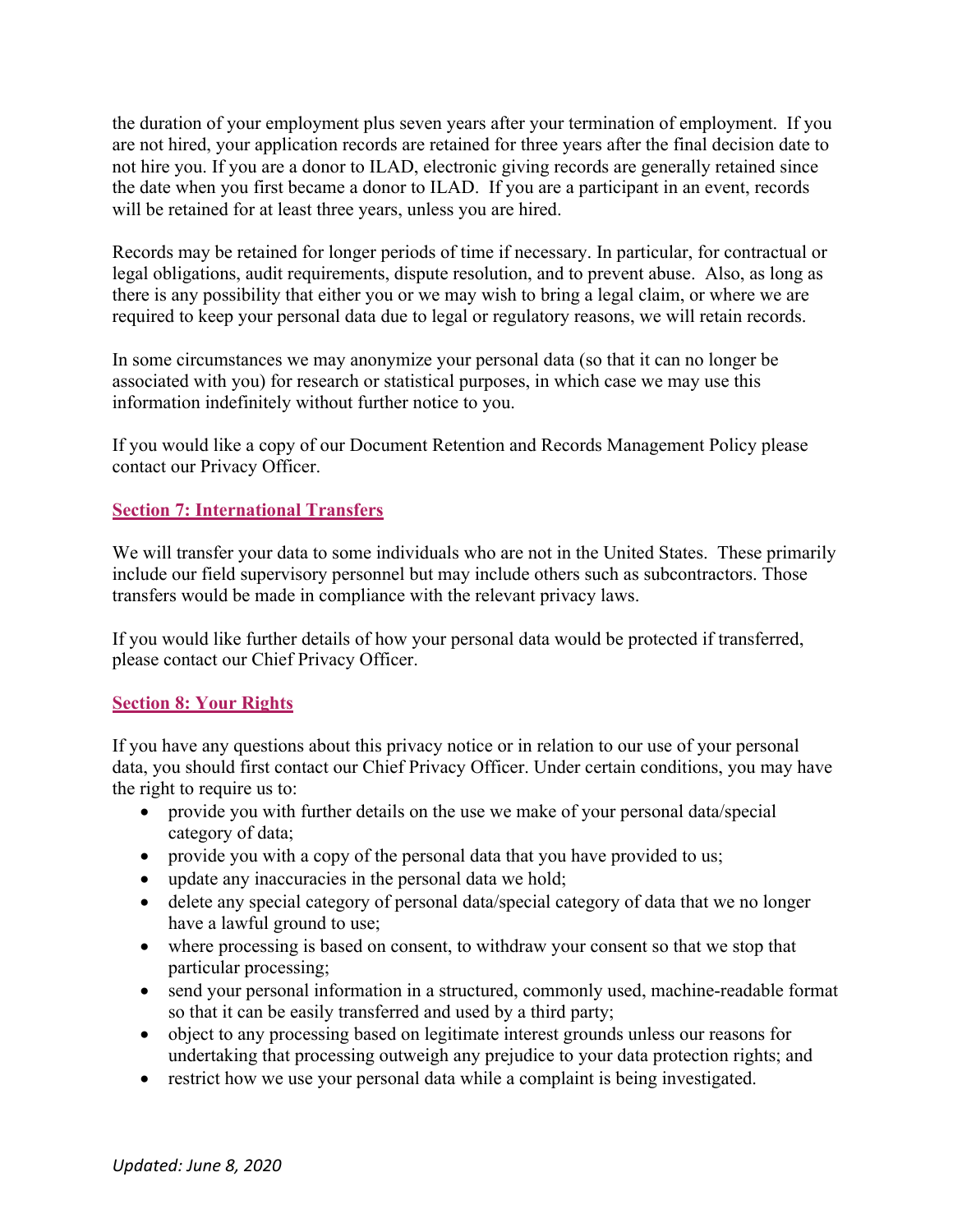the duration of your employment plus seven years after your termination of employment. If you are not hired, your application records are retained for three years after the final decision date to not hire you. If you are a donor to ILAD, electronic giving records are generally retained since the date when you first became a donor to ILAD. If you are a participant in an event, records will be retained for at least three years, unless you are hired.

Records may be retained for longer periods of time if necessary. In particular, for contractual or legal obligations, audit requirements, dispute resolution, and to prevent abuse. Also, as long as there is any possibility that either you or we may wish to bring a legal claim, or where we are required to keep your personal data due to legal or regulatory reasons, we will retain records.

In some circumstances we may anonymize your personal data (so that it can no longer be associated with you) for research or statistical purposes, in which case we may use this information indefinitely without further notice to you.

If you would like a copy of our Document Retention and Records Management Policy please contact our Privacy Officer.

### **Section 7: International Transfers**

We will transfer your data to some individuals who are not in the United States. These primarily include our field supervisory personnel but may include others such as subcontractors. Those transfers would be made in compliance with the relevant privacy laws.

If you would like further details of how your personal data would be protected if transferred, please contact our Chief Privacy Officer.

### **Section 8: Your Rights**

If you have any questions about this privacy notice or in relation to our use of your personal data, you should first contact our Chief Privacy Officer. Under certain conditions, you may have the right to require us to:

- provide you with further details on the use we make of your personal data/special category of data;
- provide you with a copy of the personal data that you have provided to us;
- update any inaccuracies in the personal data we hold;
- delete any special category of personal data/special category of data that we no longer have a lawful ground to use;
- where processing is based on consent, to withdraw your consent so that we stop that particular processing;
- send your personal information in a structured, commonly used, machine-readable format so that it can be easily transferred and used by a third party;
- object to any processing based on legitimate interest grounds unless our reasons for undertaking that processing outweigh any prejudice to your data protection rights; and
- restrict how we use your personal data while a complaint is being investigated.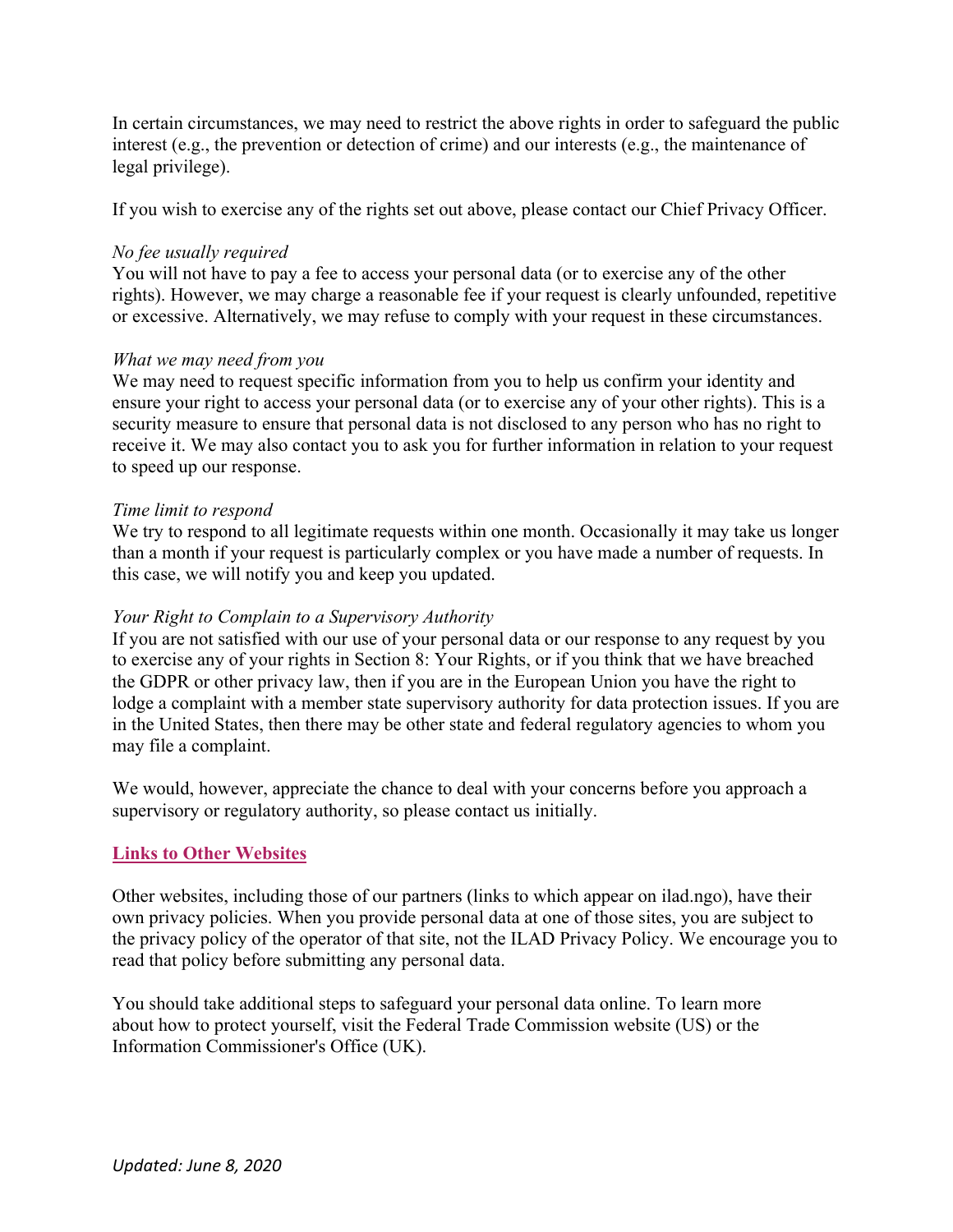In certain circumstances, we may need to restrict the above rights in order to safeguard the public interest (e.g., the prevention or detection of crime) and our interests (e.g., the maintenance of legal privilege).

If you wish to exercise any of the rights set out above, please contact our Chief Privacy Officer.

#### *No fee usually required*

You will not have to pay a fee to access your personal data (or to exercise any of the other rights). However, we may charge a reasonable fee if your request is clearly unfounded, repetitive or excessive. Alternatively, we may refuse to comply with your request in these circumstances.

#### *What we may need from you*

We may need to request specific information from you to help us confirm your identity and ensure your right to access your personal data (or to exercise any of your other rights). This is a security measure to ensure that personal data is not disclosed to any person who has no right to receive it. We may also contact you to ask you for further information in relation to your request to speed up our response.

#### *Time limit to respond*

We try to respond to all legitimate requests within one month. Occasionally it may take us longer than a month if your request is particularly complex or you have made a number of requests. In this case, we will notify you and keep you updated.

#### *Your Right to Complain to a Supervisory Authority*

If you are not satisfied with our use of your personal data or our response to any request by you to exercise any of your rights in Section 8: Your Rights, or if you think that we have breached the GDPR or other privacy law, then if you are in the European Union you have the right to lodge a complaint with a member state supervisory authority for data protection issues. If you are in the United States, then there may be other state and federal regulatory agencies to whom you may file a complaint.

We would, however, appreciate the chance to deal with your concerns before you approach a supervisory or regulatory authority, so please contact us initially.

### **Links to Other Websites**

Other websites, including those of our partners (links to which appear on ilad.ngo), have their own privacy policies. When you provide personal data at one of those sites, you are subject to the privacy policy of the operator of that site, not the ILAD Privacy Policy. We encourage you to read that policy before submitting any personal data.

You should take additional steps to safeguard your personal data online. To learn more about how to protect yourself, visit the Federal Trade Commission website (US) or the Information Commissioner's Office (UK).